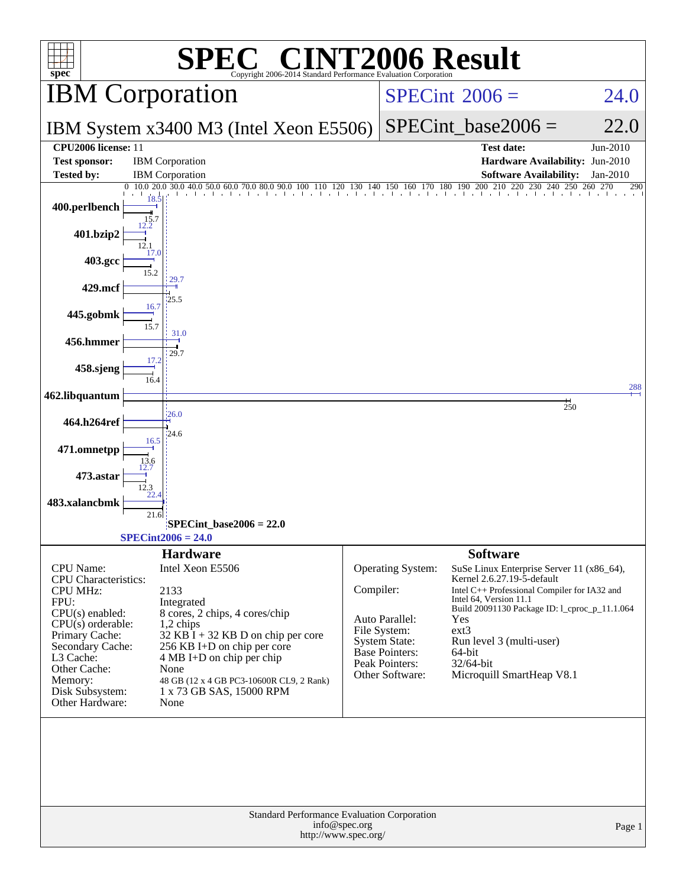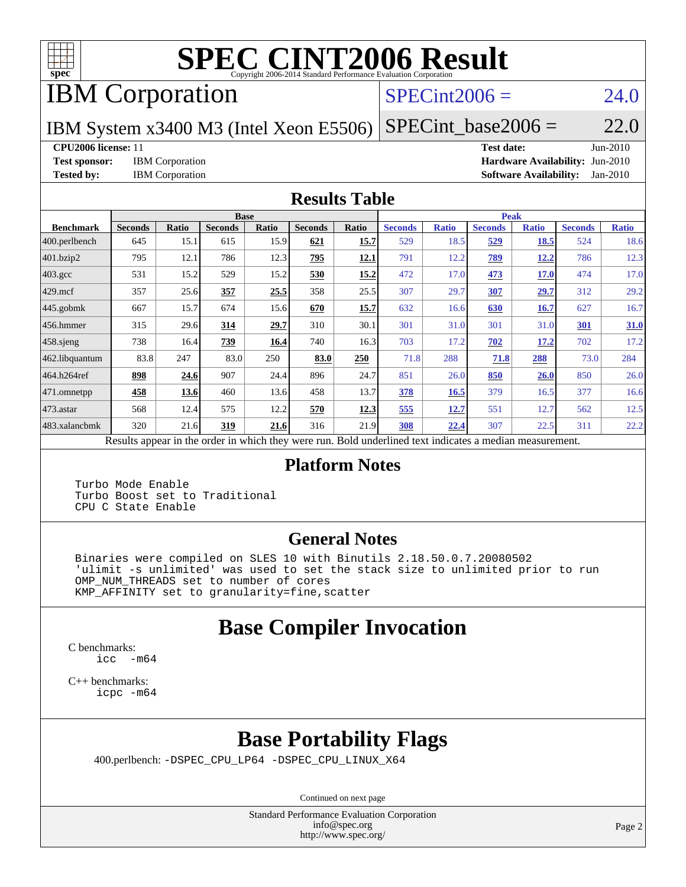

# **[SPEC CINT2006 Result](http://www.spec.org/auto/cpu2006/Docs/result-fields.html#SPECCINT2006Result)**

## IBM Corporation

### $SPECint2006 = 24.0$  $SPECint2006 = 24.0$

IBM System x3400 M3 (Intel Xeon E5506)

 $SPECTnt\_base2006 = 22.0$ 

**[CPU2006 license:](http://www.spec.org/auto/cpu2006/Docs/result-fields.html#CPU2006license)** 11 **[Test date:](http://www.spec.org/auto/cpu2006/Docs/result-fields.html#Testdate)** Jun-2010

**[Test sponsor:](http://www.spec.org/auto/cpu2006/Docs/result-fields.html#Testsponsor)** IBM Corporation **[Hardware Availability:](http://www.spec.org/auto/cpu2006/Docs/result-fields.html#HardwareAvailability)** Jun-2010 **[Tested by:](http://www.spec.org/auto/cpu2006/Docs/result-fields.html#Testedby)** IBM Corporation **[Software Availability:](http://www.spec.org/auto/cpu2006/Docs/result-fields.html#SoftwareAvailability)** Jan-2010

### **[Results Table](http://www.spec.org/auto/cpu2006/Docs/result-fields.html#ResultsTable)**

|                    | <b>Base</b>                                       |       |                |              |                |       |                                                     | <b>Peak</b>  |                |              |                |              |  |  |
|--------------------|---------------------------------------------------|-------|----------------|--------------|----------------|-------|-----------------------------------------------------|--------------|----------------|--------------|----------------|--------------|--|--|
| <b>Benchmark</b>   | <b>Seconds</b>                                    | Ratio | <b>Seconds</b> | <b>Ratio</b> | <b>Seconds</b> | Ratio | <b>Seconds</b>                                      | <b>Ratio</b> | <b>Seconds</b> | <b>Ratio</b> | <b>Seconds</b> | <b>Ratio</b> |  |  |
| $ 400$ .perlbench  | 645                                               | 15.1  | 615            | 15.9         | 621            | 15.7  | 529                                                 | 18.5         | 529            | 18.5         | 524            | 18.6         |  |  |
| 401.bzip2          | 795                                               | 12.1  | 786            | 12.3         | 795            | 12.1  | 791                                                 | 12.2         | <u>789</u>     | <u>12.2</u>  | 786            | 12.3         |  |  |
| $403.\mathrm{gcc}$ | 531                                               | 15.2  | 529            | 15.2         | 530            | 15.2  | 472                                                 | 17.0         | 473            | <b>17.0</b>  | 474            | 17.0         |  |  |
| $429$ mcf          | 357                                               | 25.6  | 357            | 25.5         | 358            | 25.5  | 307                                                 | 29.7         | 307            | 29.7         | 312            | 29.2         |  |  |
| $445$ .gobmk       | 667                                               | 15.7  | 674            | 15.6         | 670            | 15.7  | 632                                                 | 16.6         | 630            | 16.7         | 627            | 16.7         |  |  |
| $ 456.$ hmmer      | 315                                               | 29.6  | 314            | 29.7         | 310            | 30.1  | 301                                                 | 31.0         | 301            | 31.0         | <b>301</b>     | <b>31.0</b>  |  |  |
| $458$ .sjeng       | 738                                               | 16.4  | 739            | 16.4         | 740            | 16.3  | 703                                                 | 17.2         | 702            | 17.2         | 702            | 17.2         |  |  |
| 462.libquantum     | 83.8                                              | 247   | 83.0           | 250          | 83.0           | 250   | 71.8                                                | 288          | 71.8           | 288          | 73.0           | 284          |  |  |
| 464.h264ref        | 898                                               | 24.6  | 907            | 24.4         | 896            | 24.7  | 851                                                 | 26.0         | 850            | 26.0         | 850            | 26.0         |  |  |
| 471.omnetpp        | 458                                               | 13.6  | 460            | 13.6         | 458            | 13.7  | 378                                                 | 16.5         | 379            | 16.5         | 377            | 16.6         |  |  |
| $ 473$ . astar     | 568                                               | 12.4  | 575            | 12.2         | 570            | 12.3  | 555                                                 | 12.7         | 551            | 12.7         | 562            | 12.5         |  |  |
| 483.xalancbmk      | 320                                               | 21.6  | 319            | 21.6         | 316            | 21.9  | 308                                                 | 22.4         | 307            | 22.5         | 311            | 22.2         |  |  |
|                    | Decute ennoye in the order in which they were mun |       |                |              |                |       | Dold underlined text indicates a madien massurement |              |                |              |                |              |  |  |

Results appear in the [order in which they were run.](http://www.spec.org/auto/cpu2006/Docs/result-fields.html#RunOrder) Bold underlined text [indicates a median measurement.](http://www.spec.org/auto/cpu2006/Docs/result-fields.html#Median)

### **[Platform Notes](http://www.spec.org/auto/cpu2006/Docs/result-fields.html#PlatformNotes)**

 Turbo Mode Enable Turbo Boost set to Traditional CPU C State Enable

### **[General Notes](http://www.spec.org/auto/cpu2006/Docs/result-fields.html#GeneralNotes)**

 Binaries were compiled on SLES 10 with Binutils 2.18.50.0.7.20080502 'ulimit -s unlimited' was used to set the stack size to unlimited prior to run OMP\_NUM\_THREADS set to number of cores KMP\_AFFINITY set to granularity=fine,scatter

### **[Base Compiler Invocation](http://www.spec.org/auto/cpu2006/Docs/result-fields.html#BaseCompilerInvocation)**

[C benchmarks](http://www.spec.org/auto/cpu2006/Docs/result-fields.html#Cbenchmarks): [icc -m64](http://www.spec.org/cpu2006/results/res2010q3/cpu2006-20100719-12501.flags.html#user_CCbase_intel_icc_64bit_f346026e86af2a669e726fe758c88044)

[C++ benchmarks:](http://www.spec.org/auto/cpu2006/Docs/result-fields.html#CXXbenchmarks) [icpc -m64](http://www.spec.org/cpu2006/results/res2010q3/cpu2006-20100719-12501.flags.html#user_CXXbase_intel_icpc_64bit_fc66a5337ce925472a5c54ad6a0de310)

## **[Base Portability Flags](http://www.spec.org/auto/cpu2006/Docs/result-fields.html#BasePortabilityFlags)**

400.perlbench: [-DSPEC\\_CPU\\_LP64](http://www.spec.org/cpu2006/results/res2010q3/cpu2006-20100719-12501.flags.html#b400.perlbench_basePORTABILITY_DSPEC_CPU_LP64) [-DSPEC\\_CPU\\_LINUX\\_X64](http://www.spec.org/cpu2006/results/res2010q3/cpu2006-20100719-12501.flags.html#b400.perlbench_baseCPORTABILITY_DSPEC_CPU_LINUX_X64)

Continued on next page

Standard Performance Evaluation Corporation [info@spec.org](mailto:info@spec.org) <http://www.spec.org/>

Page 2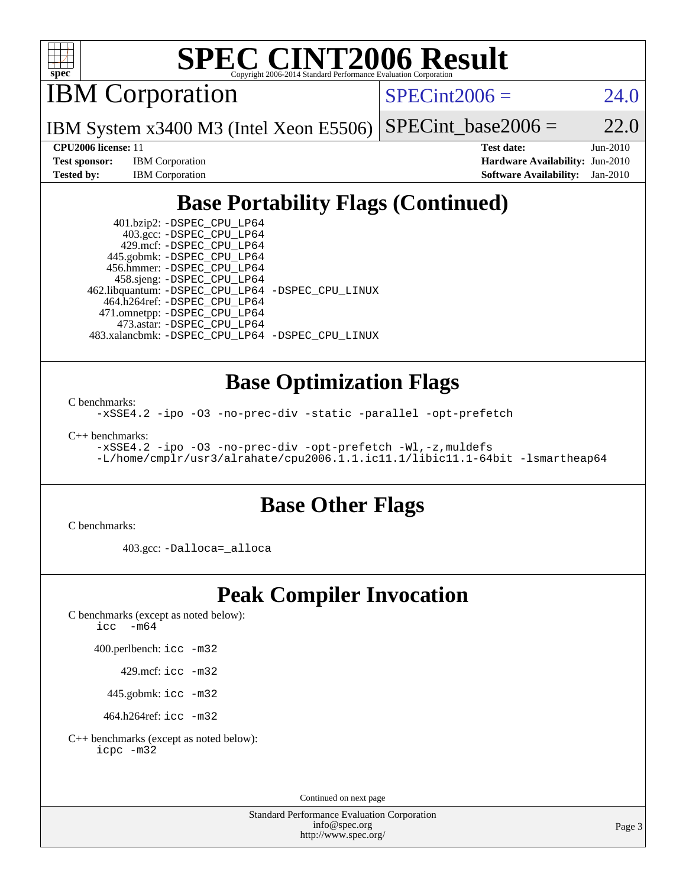

# **[SPEC CINT2006 Result](http://www.spec.org/auto/cpu2006/Docs/result-fields.html#SPECCINT2006Result)**

IBM Corporation

 $SPECint2006 = 24.0$  $SPECint2006 = 24.0$ 

IBM System x3400 M3 (Intel Xeon E5506)  $SPECTnt_base2006 = 22.0$ 

**[Test sponsor:](http://www.spec.org/auto/cpu2006/Docs/result-fields.html#Testsponsor)** IBM Corporation **[Hardware Availability:](http://www.spec.org/auto/cpu2006/Docs/result-fields.html#HardwareAvailability)** Jun-2010

**[CPU2006 license:](http://www.spec.org/auto/cpu2006/Docs/result-fields.html#CPU2006license)** 11 **[Test date:](http://www.spec.org/auto/cpu2006/Docs/result-fields.html#Testdate)** Jun-2010 **[Tested by:](http://www.spec.org/auto/cpu2006/Docs/result-fields.html#Testedby)** IBM Corporation **[Software Availability:](http://www.spec.org/auto/cpu2006/Docs/result-fields.html#SoftwareAvailability)** Jan-2010

### **[Base Portability Flags \(Continued\)](http://www.spec.org/auto/cpu2006/Docs/result-fields.html#BasePortabilityFlags)**

 401.bzip2: [-DSPEC\\_CPU\\_LP64](http://www.spec.org/cpu2006/results/res2010q3/cpu2006-20100719-12501.flags.html#suite_basePORTABILITY401_bzip2_DSPEC_CPU_LP64) 403.gcc: [-DSPEC\\_CPU\\_LP64](http://www.spec.org/cpu2006/results/res2010q3/cpu2006-20100719-12501.flags.html#suite_basePORTABILITY403_gcc_DSPEC_CPU_LP64) 429.mcf: [-DSPEC\\_CPU\\_LP64](http://www.spec.org/cpu2006/results/res2010q3/cpu2006-20100719-12501.flags.html#suite_basePORTABILITY429_mcf_DSPEC_CPU_LP64) 445.gobmk: [-DSPEC\\_CPU\\_LP64](http://www.spec.org/cpu2006/results/res2010q3/cpu2006-20100719-12501.flags.html#suite_basePORTABILITY445_gobmk_DSPEC_CPU_LP64) 456.hmmer: [-DSPEC\\_CPU\\_LP64](http://www.spec.org/cpu2006/results/res2010q3/cpu2006-20100719-12501.flags.html#suite_basePORTABILITY456_hmmer_DSPEC_CPU_LP64) 458.sjeng: [-DSPEC\\_CPU\\_LP64](http://www.spec.org/cpu2006/results/res2010q3/cpu2006-20100719-12501.flags.html#suite_basePORTABILITY458_sjeng_DSPEC_CPU_LP64) 462.libquantum: [-DSPEC\\_CPU\\_LP64](http://www.spec.org/cpu2006/results/res2010q3/cpu2006-20100719-12501.flags.html#suite_basePORTABILITY462_libquantum_DSPEC_CPU_LP64) [-DSPEC\\_CPU\\_LINUX](http://www.spec.org/cpu2006/results/res2010q3/cpu2006-20100719-12501.flags.html#b462.libquantum_baseCPORTABILITY_DSPEC_CPU_LINUX) 464.h264ref: [-DSPEC\\_CPU\\_LP64](http://www.spec.org/cpu2006/results/res2010q3/cpu2006-20100719-12501.flags.html#suite_basePORTABILITY464_h264ref_DSPEC_CPU_LP64) 471.omnetpp: [-DSPEC\\_CPU\\_LP64](http://www.spec.org/cpu2006/results/res2010q3/cpu2006-20100719-12501.flags.html#suite_basePORTABILITY471_omnetpp_DSPEC_CPU_LP64) 473.astar: [-DSPEC\\_CPU\\_LP64](http://www.spec.org/cpu2006/results/res2010q3/cpu2006-20100719-12501.flags.html#suite_basePORTABILITY473_astar_DSPEC_CPU_LP64) 483.xalancbmk: [-DSPEC\\_CPU\\_LP64](http://www.spec.org/cpu2006/results/res2010q3/cpu2006-20100719-12501.flags.html#suite_basePORTABILITY483_xalancbmk_DSPEC_CPU_LP64) [-DSPEC\\_CPU\\_LINUX](http://www.spec.org/cpu2006/results/res2010q3/cpu2006-20100719-12501.flags.html#b483.xalancbmk_baseCXXPORTABILITY_DSPEC_CPU_LINUX)

### **[Base Optimization Flags](http://www.spec.org/auto/cpu2006/Docs/result-fields.html#BaseOptimizationFlags)**

[C benchmarks](http://www.spec.org/auto/cpu2006/Docs/result-fields.html#Cbenchmarks):

[-xSSE4.2](http://www.spec.org/cpu2006/results/res2010q3/cpu2006-20100719-12501.flags.html#user_CCbase_f-xSSE42_f91528193cf0b216347adb8b939d4107) [-ipo](http://www.spec.org/cpu2006/results/res2010q3/cpu2006-20100719-12501.flags.html#user_CCbase_f-ipo) [-O3](http://www.spec.org/cpu2006/results/res2010q3/cpu2006-20100719-12501.flags.html#user_CCbase_f-O3) [-no-prec-div](http://www.spec.org/cpu2006/results/res2010q3/cpu2006-20100719-12501.flags.html#user_CCbase_f-no-prec-div) [-static](http://www.spec.org/cpu2006/results/res2010q3/cpu2006-20100719-12501.flags.html#user_CCbase_f-static) [-parallel](http://www.spec.org/cpu2006/results/res2010q3/cpu2006-20100719-12501.flags.html#user_CCbase_f-parallel) [-opt-prefetch](http://www.spec.org/cpu2006/results/res2010q3/cpu2006-20100719-12501.flags.html#user_CCbase_f-opt-prefetch)

[C++ benchmarks:](http://www.spec.org/auto/cpu2006/Docs/result-fields.html#CXXbenchmarks)

```
-xSSE4.2 -ipo -O3 -no-prec-div -opt-prefetch -Wl,-z,muldefs
-L/home/cmplr/usr3/alrahate/cpu2006.1.1.ic11.1/libic11.1-64bit -lsmartheap64
```
### **[Base Other Flags](http://www.spec.org/auto/cpu2006/Docs/result-fields.html#BaseOtherFlags)**

[C benchmarks](http://www.spec.org/auto/cpu2006/Docs/result-fields.html#Cbenchmarks):

403.gcc: [-Dalloca=\\_alloca](http://www.spec.org/cpu2006/results/res2010q3/cpu2006-20100719-12501.flags.html#b403.gcc_baseEXTRA_CFLAGS_Dalloca_be3056838c12de2578596ca5467af7f3)

### **[Peak Compiler Invocation](http://www.spec.org/auto/cpu2006/Docs/result-fields.html#PeakCompilerInvocation)**

[C benchmarks \(except as noted below\)](http://www.spec.org/auto/cpu2006/Docs/result-fields.html#Cbenchmarksexceptasnotedbelow): [icc -m64](http://www.spec.org/cpu2006/results/res2010q3/cpu2006-20100719-12501.flags.html#user_CCpeak_intel_icc_64bit_f346026e86af2a669e726fe758c88044)

400.perlbench: [icc -m32](http://www.spec.org/cpu2006/results/res2010q3/cpu2006-20100719-12501.flags.html#user_peakCCLD400_perlbench_intel_icc_32bit_a6a621f8d50482236b970c6ac5f55f93)

429.mcf: [icc -m32](http://www.spec.org/cpu2006/results/res2010q3/cpu2006-20100719-12501.flags.html#user_peakCCLD429_mcf_intel_icc_32bit_a6a621f8d50482236b970c6ac5f55f93)

445.gobmk: [icc -m32](http://www.spec.org/cpu2006/results/res2010q3/cpu2006-20100719-12501.flags.html#user_peakCCLD445_gobmk_intel_icc_32bit_a6a621f8d50482236b970c6ac5f55f93)

464.h264ref: [icc -m32](http://www.spec.org/cpu2006/results/res2010q3/cpu2006-20100719-12501.flags.html#user_peakCCLD464_h264ref_intel_icc_32bit_a6a621f8d50482236b970c6ac5f55f93)

[C++ benchmarks \(except as noted below\):](http://www.spec.org/auto/cpu2006/Docs/result-fields.html#CXXbenchmarksexceptasnotedbelow) [icpc -m32](http://www.spec.org/cpu2006/results/res2010q3/cpu2006-20100719-12501.flags.html#user_CXXpeak_intel_icpc_32bit_4e5a5ef1a53fd332b3c49e69c3330699)

Continued on next page

Standard Performance Evaluation Corporation [info@spec.org](mailto:info@spec.org) <http://www.spec.org/>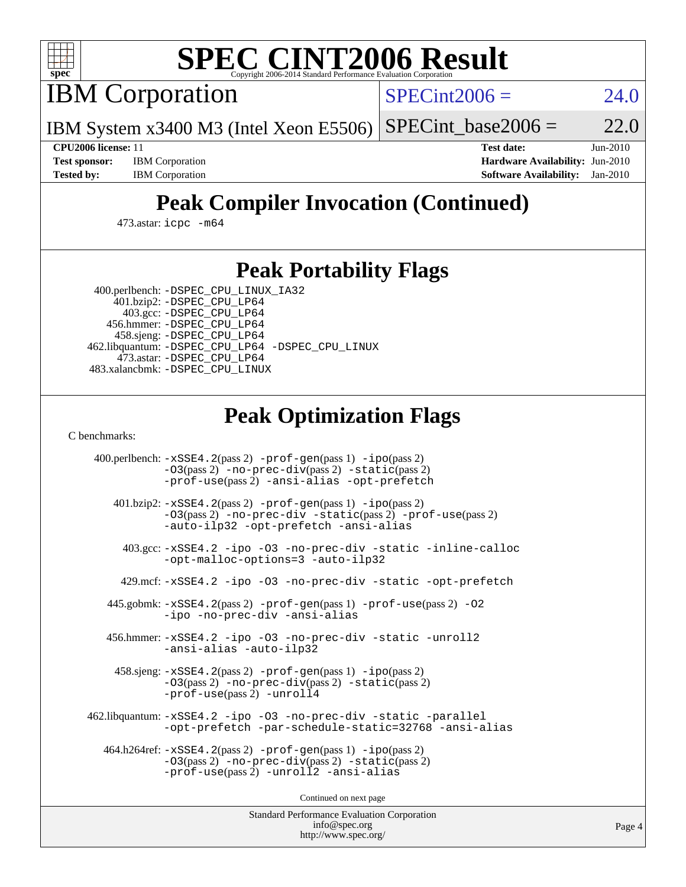

# **[SPEC CINT2006 Result](http://www.spec.org/auto/cpu2006/Docs/result-fields.html#SPECCINT2006Result)**

IBM Corporation

 $SPECint2006 = 24.0$  $SPECint2006 = 24.0$ 

IBM System x3400 M3 (Intel Xeon E5506)  $SPECint_base2006 = 22.0$  $SPECint_base2006 = 22.0$ 

**[Test sponsor:](http://www.spec.org/auto/cpu2006/Docs/result-fields.html#Testsponsor)** IBM Corporation **[Hardware Availability:](http://www.spec.org/auto/cpu2006/Docs/result-fields.html#HardwareAvailability)** Jun-2010

**[CPU2006 license:](http://www.spec.org/auto/cpu2006/Docs/result-fields.html#CPU2006license)** 11 **[Test date:](http://www.spec.org/auto/cpu2006/Docs/result-fields.html#Testdate)** Jun-2010 **[Tested by:](http://www.spec.org/auto/cpu2006/Docs/result-fields.html#Testedby)** IBM Corporation **[Software Availability:](http://www.spec.org/auto/cpu2006/Docs/result-fields.html#SoftwareAvailability)** Jan-2010

## **[Peak Compiler Invocation \(Continued\)](http://www.spec.org/auto/cpu2006/Docs/result-fields.html#PeakCompilerInvocation)**

473.astar: [icpc -m64](http://www.spec.org/cpu2006/results/res2010q3/cpu2006-20100719-12501.flags.html#user_peakCXXLD473_astar_intel_icpc_64bit_fc66a5337ce925472a5c54ad6a0de310)

### **[Peak Portability Flags](http://www.spec.org/auto/cpu2006/Docs/result-fields.html#PeakPortabilityFlags)**

 400.perlbench: [-DSPEC\\_CPU\\_LINUX\\_IA32](http://www.spec.org/cpu2006/results/res2010q3/cpu2006-20100719-12501.flags.html#b400.perlbench_peakCPORTABILITY_DSPEC_CPU_LINUX_IA32) 401.bzip2: [-DSPEC\\_CPU\\_LP64](http://www.spec.org/cpu2006/results/res2010q3/cpu2006-20100719-12501.flags.html#suite_peakPORTABILITY401_bzip2_DSPEC_CPU_LP64)

 403.gcc: [-DSPEC\\_CPU\\_LP64](http://www.spec.org/cpu2006/results/res2010q3/cpu2006-20100719-12501.flags.html#suite_peakPORTABILITY403_gcc_DSPEC_CPU_LP64) 456.hmmer: [-DSPEC\\_CPU\\_LP64](http://www.spec.org/cpu2006/results/res2010q3/cpu2006-20100719-12501.flags.html#suite_peakPORTABILITY456_hmmer_DSPEC_CPU_LP64) 458.sjeng: [-DSPEC\\_CPU\\_LP64](http://www.spec.org/cpu2006/results/res2010q3/cpu2006-20100719-12501.flags.html#suite_peakPORTABILITY458_sjeng_DSPEC_CPU_LP64) 462.libquantum: [-DSPEC\\_CPU\\_LP64](http://www.spec.org/cpu2006/results/res2010q3/cpu2006-20100719-12501.flags.html#suite_peakPORTABILITY462_libquantum_DSPEC_CPU_LP64) [-DSPEC\\_CPU\\_LINUX](http://www.spec.org/cpu2006/results/res2010q3/cpu2006-20100719-12501.flags.html#b462.libquantum_peakCPORTABILITY_DSPEC_CPU_LINUX) 473.astar: [-DSPEC\\_CPU\\_LP64](http://www.spec.org/cpu2006/results/res2010q3/cpu2006-20100719-12501.flags.html#suite_peakPORTABILITY473_astar_DSPEC_CPU_LP64) 483.xalancbmk: [-DSPEC\\_CPU\\_LINUX](http://www.spec.org/cpu2006/results/res2010q3/cpu2006-20100719-12501.flags.html#b483.xalancbmk_peakCXXPORTABILITY_DSPEC_CPU_LINUX)

### **[Peak Optimization Flags](http://www.spec.org/auto/cpu2006/Docs/result-fields.html#PeakOptimizationFlags)**

[C benchmarks](http://www.spec.org/auto/cpu2006/Docs/result-fields.html#Cbenchmarks):

 400.perlbench: [-xSSE4.2](http://www.spec.org/cpu2006/results/res2010q3/cpu2006-20100719-12501.flags.html#user_peakPASS2_CFLAGSPASS2_LDCFLAGS400_perlbench_f-xSSE42_f91528193cf0b216347adb8b939d4107)(pass 2) [-prof-gen](http://www.spec.org/cpu2006/results/res2010q3/cpu2006-20100719-12501.flags.html#user_peakPASS1_CFLAGSPASS1_LDCFLAGS400_perlbench_prof_gen_e43856698f6ca7b7e442dfd80e94a8fc)(pass 1) [-ipo](http://www.spec.org/cpu2006/results/res2010q3/cpu2006-20100719-12501.flags.html#user_peakPASS2_CFLAGSPASS2_LDCFLAGS400_perlbench_f-ipo)(pass 2) [-O3](http://www.spec.org/cpu2006/results/res2010q3/cpu2006-20100719-12501.flags.html#user_peakPASS2_CFLAGSPASS2_LDCFLAGS400_perlbench_f-O3)(pass 2) [-no-prec-div](http://www.spec.org/cpu2006/results/res2010q3/cpu2006-20100719-12501.flags.html#user_peakPASS2_CFLAGSPASS2_LDCFLAGS400_perlbench_f-no-prec-div)(pass 2) [-static](http://www.spec.org/cpu2006/results/res2010q3/cpu2006-20100719-12501.flags.html#user_peakPASS2_CFLAGSPASS2_LDCFLAGS400_perlbench_f-static)(pass 2) [-prof-use](http://www.spec.org/cpu2006/results/res2010q3/cpu2006-20100719-12501.flags.html#user_peakPASS2_CFLAGSPASS2_LDCFLAGS400_perlbench_prof_use_bccf7792157ff70d64e32fe3e1250b55)(pass 2) [-ansi-alias](http://www.spec.org/cpu2006/results/res2010q3/cpu2006-20100719-12501.flags.html#user_peakCOPTIMIZE400_perlbench_f-ansi-alias) [-opt-prefetch](http://www.spec.org/cpu2006/results/res2010q3/cpu2006-20100719-12501.flags.html#user_peakCOPTIMIZE400_perlbench_f-opt-prefetch) 401.bzip2: [-xSSE4.2](http://www.spec.org/cpu2006/results/res2010q3/cpu2006-20100719-12501.flags.html#user_peakPASS2_CFLAGSPASS2_LDCFLAGS401_bzip2_f-xSSE42_f91528193cf0b216347adb8b939d4107)(pass 2) [-prof-gen](http://www.spec.org/cpu2006/results/res2010q3/cpu2006-20100719-12501.flags.html#user_peakPASS1_CFLAGSPASS1_LDCFLAGS401_bzip2_prof_gen_e43856698f6ca7b7e442dfd80e94a8fc)(pass 1) [-ipo](http://www.spec.org/cpu2006/results/res2010q3/cpu2006-20100719-12501.flags.html#user_peakPASS2_CFLAGSPASS2_LDCFLAGS401_bzip2_f-ipo)(pass 2) [-O3](http://www.spec.org/cpu2006/results/res2010q3/cpu2006-20100719-12501.flags.html#user_peakPASS2_CFLAGSPASS2_LDCFLAGS401_bzip2_f-O3)(pass 2) [-no-prec-div](http://www.spec.org/cpu2006/results/res2010q3/cpu2006-20100719-12501.flags.html#user_peakCOPTIMIZEPASS2_CFLAGSPASS2_LDCFLAGS401_bzip2_f-no-prec-div) [-static](http://www.spec.org/cpu2006/results/res2010q3/cpu2006-20100719-12501.flags.html#user_peakPASS2_CFLAGSPASS2_LDCFLAGS401_bzip2_f-static)(pass 2) [-prof-use](http://www.spec.org/cpu2006/results/res2010q3/cpu2006-20100719-12501.flags.html#user_peakPASS2_CFLAGSPASS2_LDCFLAGS401_bzip2_prof_use_bccf7792157ff70d64e32fe3e1250b55)(pass 2) [-auto-ilp32](http://www.spec.org/cpu2006/results/res2010q3/cpu2006-20100719-12501.flags.html#user_peakCOPTIMIZE401_bzip2_f-auto-ilp32) [-opt-prefetch](http://www.spec.org/cpu2006/results/res2010q3/cpu2006-20100719-12501.flags.html#user_peakCOPTIMIZE401_bzip2_f-opt-prefetch) [-ansi-alias](http://www.spec.org/cpu2006/results/res2010q3/cpu2006-20100719-12501.flags.html#user_peakCOPTIMIZE401_bzip2_f-ansi-alias) 403.gcc: [-xSSE4.2](http://www.spec.org/cpu2006/results/res2010q3/cpu2006-20100719-12501.flags.html#user_peakCOPTIMIZE403_gcc_f-xSSE42_f91528193cf0b216347adb8b939d4107) [-ipo](http://www.spec.org/cpu2006/results/res2010q3/cpu2006-20100719-12501.flags.html#user_peakCOPTIMIZE403_gcc_f-ipo) [-O3](http://www.spec.org/cpu2006/results/res2010q3/cpu2006-20100719-12501.flags.html#user_peakCOPTIMIZE403_gcc_f-O3) [-no-prec-div](http://www.spec.org/cpu2006/results/res2010q3/cpu2006-20100719-12501.flags.html#user_peakCOPTIMIZE403_gcc_f-no-prec-div) [-static](http://www.spec.org/cpu2006/results/res2010q3/cpu2006-20100719-12501.flags.html#user_peakCOPTIMIZE403_gcc_f-static) [-inline-calloc](http://www.spec.org/cpu2006/results/res2010q3/cpu2006-20100719-12501.flags.html#user_peakCOPTIMIZE403_gcc_f-inline-calloc) [-opt-malloc-options=3](http://www.spec.org/cpu2006/results/res2010q3/cpu2006-20100719-12501.flags.html#user_peakCOPTIMIZE403_gcc_f-opt-malloc-options_13ab9b803cf986b4ee62f0a5998c2238) [-auto-ilp32](http://www.spec.org/cpu2006/results/res2010q3/cpu2006-20100719-12501.flags.html#user_peakCOPTIMIZE403_gcc_f-auto-ilp32) 429.mcf: [-xSSE4.2](http://www.spec.org/cpu2006/results/res2010q3/cpu2006-20100719-12501.flags.html#user_peakCOPTIMIZE429_mcf_f-xSSE42_f91528193cf0b216347adb8b939d4107) [-ipo](http://www.spec.org/cpu2006/results/res2010q3/cpu2006-20100719-12501.flags.html#user_peakCOPTIMIZE429_mcf_f-ipo) [-O3](http://www.spec.org/cpu2006/results/res2010q3/cpu2006-20100719-12501.flags.html#user_peakCOPTIMIZE429_mcf_f-O3) [-no-prec-div](http://www.spec.org/cpu2006/results/res2010q3/cpu2006-20100719-12501.flags.html#user_peakCOPTIMIZE429_mcf_f-no-prec-div) [-static](http://www.spec.org/cpu2006/results/res2010q3/cpu2006-20100719-12501.flags.html#user_peakCOPTIMIZE429_mcf_f-static) [-opt-prefetch](http://www.spec.org/cpu2006/results/res2010q3/cpu2006-20100719-12501.flags.html#user_peakCOPTIMIZE429_mcf_f-opt-prefetch) 445.gobmk: [-xSSE4.2](http://www.spec.org/cpu2006/results/res2010q3/cpu2006-20100719-12501.flags.html#user_peakPASS2_CFLAGSPASS2_LDCFLAGS445_gobmk_f-xSSE42_f91528193cf0b216347adb8b939d4107)(pass 2) [-prof-gen](http://www.spec.org/cpu2006/results/res2010q3/cpu2006-20100719-12501.flags.html#user_peakPASS1_CFLAGSPASS1_LDCFLAGS445_gobmk_prof_gen_e43856698f6ca7b7e442dfd80e94a8fc)(pass 1) [-prof-use](http://www.spec.org/cpu2006/results/res2010q3/cpu2006-20100719-12501.flags.html#user_peakPASS2_CFLAGSPASS2_LDCFLAGS445_gobmk_prof_use_bccf7792157ff70d64e32fe3e1250b55)(pass 2) [-O2](http://www.spec.org/cpu2006/results/res2010q3/cpu2006-20100719-12501.flags.html#user_peakCOPTIMIZE445_gobmk_f-O2) [-ipo](http://www.spec.org/cpu2006/results/res2010q3/cpu2006-20100719-12501.flags.html#user_peakCOPTIMIZE445_gobmk_f-ipo) [-no-prec-div](http://www.spec.org/cpu2006/results/res2010q3/cpu2006-20100719-12501.flags.html#user_peakCOPTIMIZE445_gobmk_f-no-prec-div) [-ansi-alias](http://www.spec.org/cpu2006/results/res2010q3/cpu2006-20100719-12501.flags.html#user_peakCOPTIMIZE445_gobmk_f-ansi-alias) 456.hmmer: [-xSSE4.2](http://www.spec.org/cpu2006/results/res2010q3/cpu2006-20100719-12501.flags.html#user_peakCOPTIMIZE456_hmmer_f-xSSE42_f91528193cf0b216347adb8b939d4107) [-ipo](http://www.spec.org/cpu2006/results/res2010q3/cpu2006-20100719-12501.flags.html#user_peakCOPTIMIZE456_hmmer_f-ipo) [-O3](http://www.spec.org/cpu2006/results/res2010q3/cpu2006-20100719-12501.flags.html#user_peakCOPTIMIZE456_hmmer_f-O3) [-no-prec-div](http://www.spec.org/cpu2006/results/res2010q3/cpu2006-20100719-12501.flags.html#user_peakCOPTIMIZE456_hmmer_f-no-prec-div) [-static](http://www.spec.org/cpu2006/results/res2010q3/cpu2006-20100719-12501.flags.html#user_peakCOPTIMIZE456_hmmer_f-static) [-unroll2](http://www.spec.org/cpu2006/results/res2010q3/cpu2006-20100719-12501.flags.html#user_peakCOPTIMIZE456_hmmer_f-unroll_784dae83bebfb236979b41d2422d7ec2) [-ansi-alias](http://www.spec.org/cpu2006/results/res2010q3/cpu2006-20100719-12501.flags.html#user_peakCOPTIMIZE456_hmmer_f-ansi-alias) [-auto-ilp32](http://www.spec.org/cpu2006/results/res2010q3/cpu2006-20100719-12501.flags.html#user_peakCOPTIMIZE456_hmmer_f-auto-ilp32) 458.sjeng: [-xSSE4.2](http://www.spec.org/cpu2006/results/res2010q3/cpu2006-20100719-12501.flags.html#user_peakPASS2_CFLAGSPASS2_LDCFLAGS458_sjeng_f-xSSE42_f91528193cf0b216347adb8b939d4107)(pass 2) [-prof-gen](http://www.spec.org/cpu2006/results/res2010q3/cpu2006-20100719-12501.flags.html#user_peakPASS1_CFLAGSPASS1_LDCFLAGS458_sjeng_prof_gen_e43856698f6ca7b7e442dfd80e94a8fc)(pass 1) [-ipo](http://www.spec.org/cpu2006/results/res2010q3/cpu2006-20100719-12501.flags.html#user_peakPASS2_CFLAGSPASS2_LDCFLAGS458_sjeng_f-ipo)(pass 2) [-O3](http://www.spec.org/cpu2006/results/res2010q3/cpu2006-20100719-12501.flags.html#user_peakPASS2_CFLAGSPASS2_LDCFLAGS458_sjeng_f-O3)(pass 2) [-no-prec-div](http://www.spec.org/cpu2006/results/res2010q3/cpu2006-20100719-12501.flags.html#user_peakPASS2_CFLAGSPASS2_LDCFLAGS458_sjeng_f-no-prec-div)(pass 2) [-static](http://www.spec.org/cpu2006/results/res2010q3/cpu2006-20100719-12501.flags.html#user_peakPASS2_CFLAGSPASS2_LDCFLAGS458_sjeng_f-static)(pass 2) [-prof-use](http://www.spec.org/cpu2006/results/res2010q3/cpu2006-20100719-12501.flags.html#user_peakPASS2_CFLAGSPASS2_LDCFLAGS458_sjeng_prof_use_bccf7792157ff70d64e32fe3e1250b55)(pass 2) [-unroll4](http://www.spec.org/cpu2006/results/res2010q3/cpu2006-20100719-12501.flags.html#user_peakCOPTIMIZE458_sjeng_f-unroll_4e5e4ed65b7fd20bdcd365bec371b81f) 462.libquantum: [-xSSE4.2](http://www.spec.org/cpu2006/results/res2010q3/cpu2006-20100719-12501.flags.html#user_peakCOPTIMIZE462_libquantum_f-xSSE42_f91528193cf0b216347adb8b939d4107) [-ipo](http://www.spec.org/cpu2006/results/res2010q3/cpu2006-20100719-12501.flags.html#user_peakCOPTIMIZE462_libquantum_f-ipo) [-O3](http://www.spec.org/cpu2006/results/res2010q3/cpu2006-20100719-12501.flags.html#user_peakCOPTIMIZE462_libquantum_f-O3) [-no-prec-div](http://www.spec.org/cpu2006/results/res2010q3/cpu2006-20100719-12501.flags.html#user_peakCOPTIMIZE462_libquantum_f-no-prec-div) [-static](http://www.spec.org/cpu2006/results/res2010q3/cpu2006-20100719-12501.flags.html#user_peakCOPTIMIZE462_libquantum_f-static) [-parallel](http://www.spec.org/cpu2006/results/res2010q3/cpu2006-20100719-12501.flags.html#user_peakCOPTIMIZE462_libquantum_f-parallel) [-opt-prefetch](http://www.spec.org/cpu2006/results/res2010q3/cpu2006-20100719-12501.flags.html#user_peakCOPTIMIZE462_libquantum_f-opt-prefetch) [-par-schedule-static=32768](http://www.spec.org/cpu2006/results/res2010q3/cpu2006-20100719-12501.flags.html#user_peakCOPTIMIZE462_libquantum_f-par-schedule_9386bcd99ba64e99ee01d1aafefddd14) [-ansi-alias](http://www.spec.org/cpu2006/results/res2010q3/cpu2006-20100719-12501.flags.html#user_peakCOPTIMIZE462_libquantum_f-ansi-alias) 464.h264ref: [-xSSE4.2](http://www.spec.org/cpu2006/results/res2010q3/cpu2006-20100719-12501.flags.html#user_peakPASS2_CFLAGSPASS2_LDCFLAGS464_h264ref_f-xSSE42_f91528193cf0b216347adb8b939d4107)(pass 2) [-prof-gen](http://www.spec.org/cpu2006/results/res2010q3/cpu2006-20100719-12501.flags.html#user_peakPASS1_CFLAGSPASS1_LDCFLAGS464_h264ref_prof_gen_e43856698f6ca7b7e442dfd80e94a8fc)(pass 1) [-ipo](http://www.spec.org/cpu2006/results/res2010q3/cpu2006-20100719-12501.flags.html#user_peakPASS2_CFLAGSPASS2_LDCFLAGS464_h264ref_f-ipo)(pass 2) [-O3](http://www.spec.org/cpu2006/results/res2010q3/cpu2006-20100719-12501.flags.html#user_peakPASS2_CFLAGSPASS2_LDCFLAGS464_h264ref_f-O3)(pass 2) [-no-prec-div](http://www.spec.org/cpu2006/results/res2010q3/cpu2006-20100719-12501.flags.html#user_peakPASS2_CFLAGSPASS2_LDCFLAGS464_h264ref_f-no-prec-div)(pass 2) [-static](http://www.spec.org/cpu2006/results/res2010q3/cpu2006-20100719-12501.flags.html#user_peakPASS2_CFLAGSPASS2_LDCFLAGS464_h264ref_f-static)(pass 2) [-prof-use](http://www.spec.org/cpu2006/results/res2010q3/cpu2006-20100719-12501.flags.html#user_peakPASS2_CFLAGSPASS2_LDCFLAGS464_h264ref_prof_use_bccf7792157ff70d64e32fe3e1250b55)(pass 2) [-unroll2](http://www.spec.org/cpu2006/results/res2010q3/cpu2006-20100719-12501.flags.html#user_peakCOPTIMIZE464_h264ref_f-unroll_784dae83bebfb236979b41d2422d7ec2) [-ansi-alias](http://www.spec.org/cpu2006/results/res2010q3/cpu2006-20100719-12501.flags.html#user_peakCOPTIMIZE464_h264ref_f-ansi-alias)

Continued on next page

Standard Performance Evaluation Corporation [info@spec.org](mailto:info@spec.org) <http://www.spec.org/>